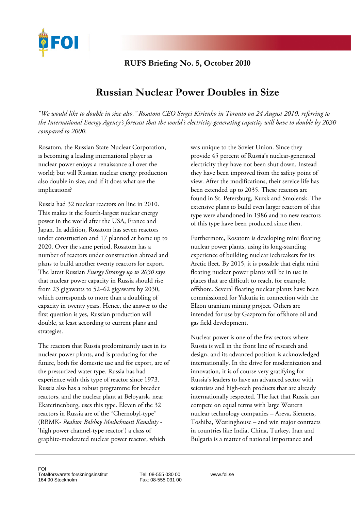

## **RUFS Briefing No. 5, October 2010**

## **Russian Nuclear Power Doubles in Size**

*"We would like to double in size also," Rosatom CEO [Sergei Kirienko](http://search.bloomberg.com/search?q=Sergei%20Kirienko&site=wnews&client=wnews&proxystylesheet=wnews&output=xml_no_dtd&ie=UTF-8&oe=UTF-8&filter=p&getfields=wnnis&sort=date:D:S:d1&partialfields=-wnnis:NOAVSYND&lr=-lang_ja) in Toronto on 24 August 2010, referring to the International Energy Agency's forecast that the world's electricity-generating capacity will have to double by 2030 compared to 2000*.

Rosatom, the Russian State Nuclear Corporation, is becoming a leading international player as nuclear power enjoys a renaissance all over the world; but will Russian nuclear energy production also double in size, and if it does what are the implications?

Russia had 32 nuclear reactors on line in 2010. This makes it the fourth-largest nuclear energy power in the world after the USA, France and Japan. In addition, Rosatom has seven reactors under construction and 17 planned at home up to 2020. Over the same period, Rosatom has a number of reactors under construction abroad and plans to build another twenty reactors for export. The latest Russian *Energy Strategy up to 2030* says that nuclear power capacity in Russia should rise from 23 gigawatts to 52–62 gigawatts by 2030, which corresponds to more than a doubling of capacity in twenty years. Hence, the answer to the first question is yes, Russian production will double, at least according to current plans and strategies.

The reactors that Russia predominantly uses in its nuclear power plants, and is producing for the future, both for domestic use and for export, are of the pressurized water type. Russia has had experience with this type of reactor since 1973. Russia also has a robust programme for breeder reactors, and the nuclear plant at Beloyarsk, near Ekaterinenburg, uses this type. Eleven of the 32 reactors in Russia are of the "Chernobyl-type" (RBMK- *Reaktor Bolshoy Moshchnosti Kanalniy* - 'high power channel-type reactor') a class of [graphite-moderated](http://en.wikipedia.org/wiki/Graphite_moderated_reactor) [nuclear power reactor](http://en.wikipedia.org/wiki/Nuclear_reactor), which

was unique to the Soviet Union. Since they provide 45 percent of Russia's nuclear-generated electricity they have not been shut down. Instead they have been improved from the safety point of view. After the modifications, their service life has been extended up to 2035. These reactors are found in St. Petersburg, Kursk and Smolensk. The extensive plans to build even larger reactors of this type were abandoned in 1986 and no new reactors of this type have been produced since then.

Furthermore, Rosatom is developing mini floating nuclear power plants, using its long-standing experience of building nuclear icebreakers for its Arctic fleet. By 2015, it is possible that eight mini floating nuclear power plants will be in use in places that are difficult to reach, for example, offshore. Several floating nuclear plants have been commissioned for Yakutia in connection with the Elkon uranium mining project. Others are intended for use by Gazprom for offshore oil and gas field development.

Nuclear power is one of the few sectors where Russia is well in the front line of research and design, and its advanced position is acknowledged internationally. In the drive for modernization and innovation, it is of course very gratifying for Russia's leaders to have an advanced sector with scientists and high-tech products that are already internationally respected. The fact that Russia can compete on equal terms with large Western nuclear technology companies – Areva, Siemens, Toshiba, Westinghouse – and win major contracts in countries like India, China, Turkey, Iran and Bulgaria is a matter of national importance and

Tel: 08-555 030 00 Fax: 08-555 031 00